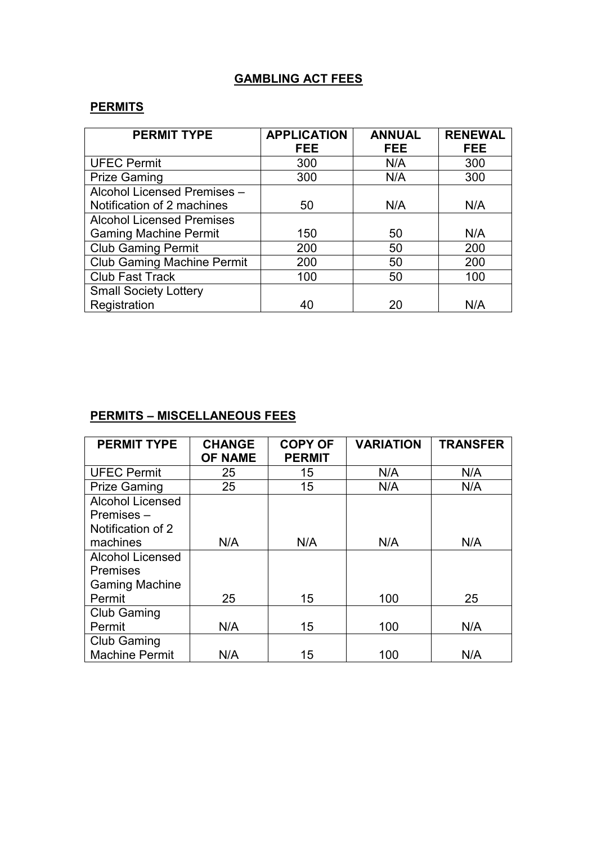## **GAMBLING ACT FEES**

## **PERMITS**

| <b>PERMIT TYPE</b>                | <b>APPLICATION</b> | <b>ANNUAL</b> | <b>RENEWAL</b> |
|-----------------------------------|--------------------|---------------|----------------|
|                                   | <b>FEE</b>         | <b>FEE</b>    | <b>FEE</b>     |
| <b>UFEC Permit</b>                | 300                | N/A           | 300            |
| <b>Prize Gaming</b>               | 300                | N/A           | 300            |
| Alcohol Licensed Premises -       |                    |               |                |
| Notification of 2 machines        | 50                 | N/A           | N/A            |
| <b>Alcohol Licensed Premises</b>  |                    |               |                |
| <b>Gaming Machine Permit</b>      | 150                | 50            | N/A            |
| <b>Club Gaming Permit</b>         | 200                | 50            | 200            |
| <b>Club Gaming Machine Permit</b> | 200                | 50            | 200            |
| <b>Club Fast Track</b>            | 100                | 50            | 100            |
| <b>Small Society Lottery</b>      |                    |               |                |
| Registration                      | 40                 | 20            | N/A            |

## **PERMITS – MISCELLANEOUS FEES**

| <b>PERMIT TYPE</b>      | <b>CHANGE</b><br><b>OF NAME</b> | <b>COPY OF</b><br><b>PERMIT</b> | <b>VARIATION</b> | <b>TRANSFER</b> |
|-------------------------|---------------------------------|---------------------------------|------------------|-----------------|
| <b>UFEC Permit</b>      | 25                              | 15                              | N/A              | N/A             |
| <b>Prize Gaming</b>     | 25                              | 15                              | N/A              | N/A             |
| <b>Alcohol Licensed</b> |                                 |                                 |                  |                 |
| $P$ remises $-$         |                                 |                                 |                  |                 |
| Notification of 2       |                                 |                                 |                  |                 |
| machines                | N/A                             | N/A                             | N/A              | N/A             |
| <b>Alcohol Licensed</b> |                                 |                                 |                  |                 |
| <b>Premises</b>         |                                 |                                 |                  |                 |
| <b>Gaming Machine</b>   |                                 |                                 |                  |                 |
| Permit                  | 25                              | 15                              | 100              | 25              |
| <b>Club Gaming</b>      |                                 |                                 |                  |                 |
| Permit                  | N/A                             | 15                              | 100              | N/A             |
| <b>Club Gaming</b>      |                                 |                                 |                  |                 |
| <b>Machine Permit</b>   | N/A                             | 15                              | 100              | N/A             |